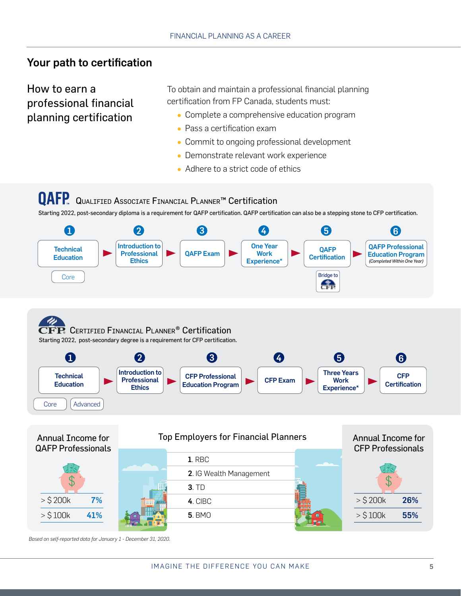## Your path to certification

How to earn a professional financial planning certification

To obtain and maintain a professional financial planning certification from FP Canada, students must:

- Complete a comprehensive education program
- Pass a certification exam
- Commit to ongoing professional development
- Demonstrate relevant work experience
- Adhere to a strict code of ethics

## **QAFP** QUALIFIED ASSOCIATE FINANCIAL PLANNER<sup>™</sup> Certification

Starting 2022, post-secondary diploma is a requirement for QAFP certification. QAFP certification can also be a stepping stone to CFP certification.



*Based on self-reported data for January 1 - December 31, 2020.*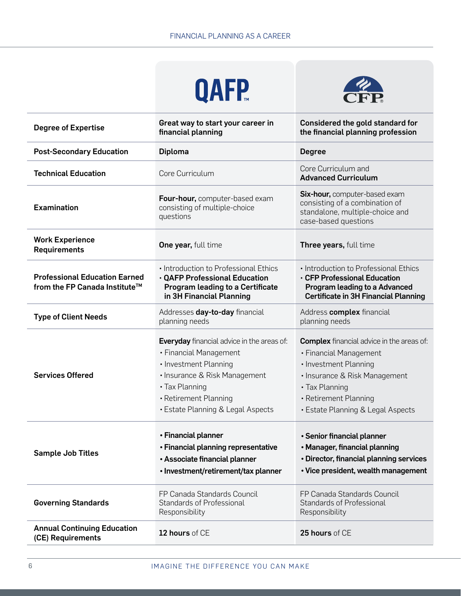| <b>TM</b> |
|-----------|
|-----------|



| <b>Degree of Expertise</b>                                            | Great way to start your career in<br>financial planning                                                                                                                                                               | <b>Considered the gold standard for</b><br>the financial planning profession                                                                                                                                         |
|-----------------------------------------------------------------------|-----------------------------------------------------------------------------------------------------------------------------------------------------------------------------------------------------------------------|----------------------------------------------------------------------------------------------------------------------------------------------------------------------------------------------------------------------|
| <b>Post-Secondary Education</b>                                       | <b>Diploma</b>                                                                                                                                                                                                        | <b>Degree</b>                                                                                                                                                                                                        |
| <b>Technical Education</b>                                            | Core Curriculum                                                                                                                                                                                                       | Core Curriculum and<br><b>Advanced Curriculum</b>                                                                                                                                                                    |
| <b>Examination</b>                                                    | Four-hour, computer-based exam<br>consisting of multiple-choice<br>questions                                                                                                                                          | Six-hour, computer-based exam<br>consisting of a combination of<br>standalone, multiple-choice and<br>case-based questions                                                                                           |
| <b>Work Experience</b><br><b>Requirements</b>                         | One year, full time                                                                                                                                                                                                   | Three years, full time                                                                                                                                                                                               |
| <b>Professional Education Earned</b><br>from the FP Canada Institute™ | • Introduction to Professional Ethics<br>· QAFP Professional Education<br><b>Program leading to a Certificate</b><br>in 3H Financial Planning                                                                         | • Introduction to Professional Ethics<br>. CFP Professional Education<br>Program leading to a Advanced<br><b>Certificate in 3H Financial Planning</b>                                                                |
| <b>Type of Client Needs</b>                                           | Addresses day-to-day financial<br>planning needs                                                                                                                                                                      | Address complex financial<br>planning needs                                                                                                                                                                          |
| <b>Services Offered</b>                                               | <b>Everyday</b> financial advice in the areas of:<br>• Financial Management<br>• Investment Planning<br>• Insurance & Risk Management<br>• Tax Planning<br>• Retirement Planning<br>• Estate Planning & Legal Aspects | <b>Complex</b> financial advice in the areas of:<br>• Financial Management<br>• Investment Planning<br>• Insurance & Risk Management<br>• Tax Planning<br>• Retirement Planning<br>• Estate Planning & Legal Aspects |
| <b>Sample Job Titles</b>                                              | • Financial planner<br>• Financial planning representative<br>• Associate financial planner<br>• Investment/retirement/tax planner                                                                                    | • Senior financial planner<br>• Manager, financial planning<br>• Director, financial planning services<br>• Vice president, wealth management                                                                        |
| <b>Governing Standards</b>                                            | FP Canada Standards Council<br><b>Standards of Professional</b><br>Responsibility                                                                                                                                     | FP Canada Standards Council<br><b>Standards of Professional</b><br>Responsibility                                                                                                                                    |
| <b>Annual Continuing Education</b><br>(CE) Requirements               | 12 hours of CE                                                                                                                                                                                                        | 25 hours of CE                                                                                                                                                                                                       |